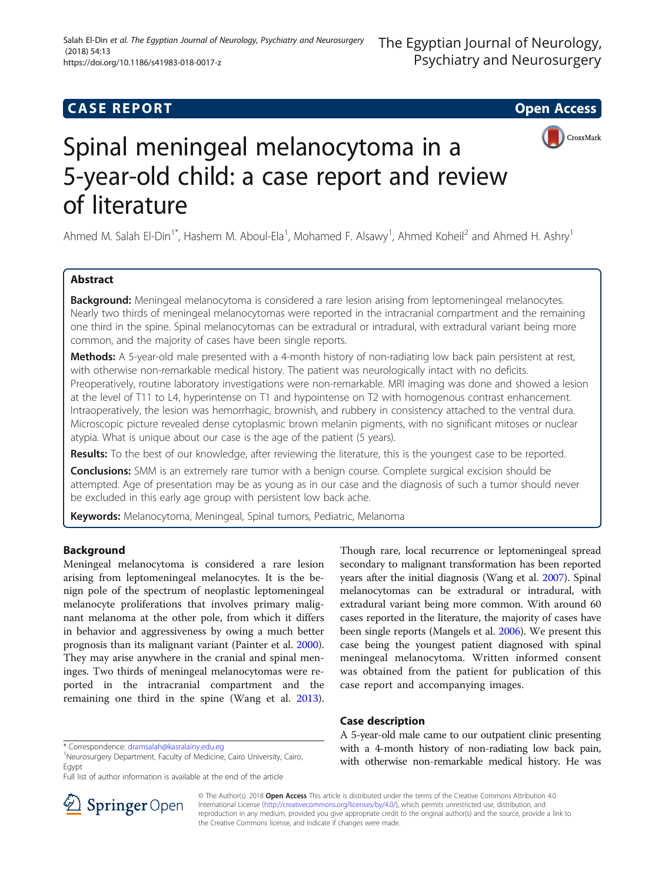## **CASE REPORT CASE REPORT CASE REPORT**





# Spinal meningeal melanocytoma in a 5-year-old child: a case report and review of literature

Ahmed M. Salah El-Din<sup>1\*</sup>, Hashem M. Aboul-Ela<sup>1</sup>, Mohamed F. Alsawy<sup>1</sup>, Ahmed Koheil<sup>2</sup> and Ahmed H. Ashry<sup>1</sup>

## Abstract

**Background:** Meningeal melanocytoma is considered a rare lesion arising from leptomeningeal melanocytes. Nearly two thirds of meningeal melanocytomas were reported in the intracranial compartment and the remaining one third in the spine. Spinal melanocytomas can be extradural or intradural, with extradural variant being more common, and the majority of cases have been single reports.

Methods: A 5-year-old male presented with a 4-month history of non-radiating low back pain persistent at rest, with otherwise non-remarkable medical history. The patient was neurologically intact with no deficits. Preoperatively, routine laboratory investigations were non-remarkable. MRI imaging was done and showed a lesion at the level of T11 to L4, hyperintense on T1 and hypointense on T2 with homogenous contrast enhancement. Intraoperatively, the lesion was hemorrhagic, brownish, and rubbery in consistency attached to the ventral dura. Microscopic picture revealed dense cytoplasmic brown melanin pigments, with no significant mitoses or nuclear atypia. What is unique about our case is the age of the patient (5 years).

Results: To the best of our knowledge, after reviewing the literature, this is the youngest case to be reported.

**Conclusions:** SMM is an extremely rare tumor with a benign course. Complete surgical excision should be attempted. Age of presentation may be as young as in our case and the diagnosis of such a tumor should never be excluded in this early age group with persistent low back ache.

Keywords: Melanocytoma, Meningeal, Spinal tumors, Pediatric, Melanoma

## Background

Meningeal melanocytoma is considered a rare lesion arising from leptomeningeal melanocytes. It is the benign pole of the spectrum of neoplastic leptomeningeal melanocyte proliferations that involves primary malignant melanoma at the other pole, from which it differs in behavior and aggressiveness by owing a much better prognosis than its malignant variant (Painter et al. [2000](#page-3-0)). They may arise anywhere in the cranial and spinal meninges. Two thirds of meningeal melanocytomas were reported in the intracranial compartment and the remaining one third in the spine (Wang et al. [2013](#page-3-0)).

\* Correspondence: [dramsalah@kasralainy.edu.eg](mailto:dramsalah@kasralainy.edu.eg) <sup>1</sup>

Full list of author information is available at the end of the article



Though rare, local recurrence or leptomeningeal spread secondary to malignant transformation has been reported years after the initial diagnosis (Wang et al. [2007](#page-3-0)). Spinal melanocytomas can be extradural or intradural, with extradural variant being more common. With around 60 cases reported in the literature, the majority of cases have been single reports (Mangels et al. [2006](#page-3-0)). We present this case being the youngest patient diagnosed with spinal meningeal melanocytoma. Written informed consent was obtained from the patient for publication of this case report and accompanying images.

## Case description

A 5-year-old male came to our outpatient clinic presenting with a 4-month history of non-radiating low back pain, with otherwise non-remarkable medical history. He was

© The Author(s). 2018 Open Access This article is distributed under the terms of the Creative Commons Attribution 4.0 International License ([http://creativecommons.org/licenses/by/4.0/\)](http://creativecommons.org/licenses/by/4.0/), which permits unrestricted use, distribution, and reproduction in any medium, provided you give appropriate credit to the original author(s) and the source, provide a link to the Creative Commons license, and indicate if changes were made.

<sup>&</sup>lt;sup>1</sup>Neurosurgery Department, Faculty of Medicine, Cairo University, Cairo, Egypt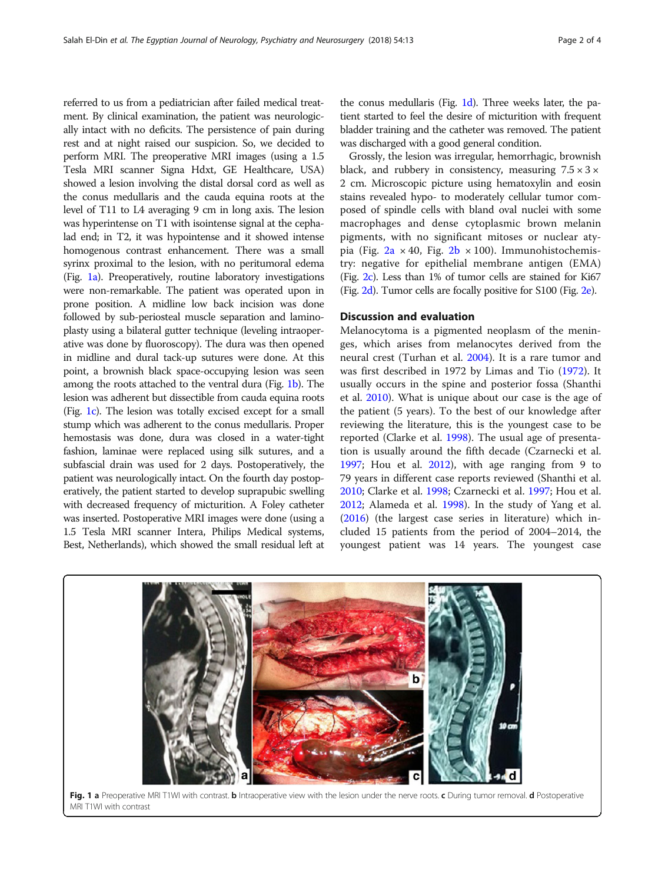referred to us from a pediatrician after failed medical treatment. By clinical examination, the patient was neurologically intact with no deficits. The persistence of pain during rest and at night raised our suspicion. So, we decided to perform MRI. The preoperative MRI images (using a 1.5 Tesla MRI scanner Signa Hdxt, GE Healthcare, USA) showed a lesion involving the distal dorsal cord as well as the conus medullaris and the cauda equina roots at the level of T11 to L4 averaging 9 cm in long axis. The lesion was hyperintense on T1 with isointense signal at the cephalad end; in T2, it was hypointense and it showed intense homogenous contrast enhancement. There was a small syrinx proximal to the lesion, with no peritumoral edema (Fig. 1a). Preoperatively, routine laboratory investigations were non-remarkable. The patient was operated upon in prone position. A midline low back incision was done followed by sub-periosteal muscle separation and laminoplasty using a bilateral gutter technique (leveling intraoperative was done by fluoroscopy). The dura was then opened in midline and dural tack-up sutures were done. At this point, a brownish black space-occupying lesion was seen among the roots attached to the ventral dura (Fig. 1b). The lesion was adherent but dissectible from cauda equina roots (Fig. 1c). The lesion was totally excised except for a small stump which was adherent to the conus medullaris. Proper hemostasis was done, dura was closed in a water-tight fashion, laminae were replaced using silk sutures, and a subfascial drain was used for 2 days. Postoperatively, the patient was neurologically intact. On the fourth day postoperatively, the patient started to develop suprapubic swelling with decreased frequency of micturition. A Foley catheter was inserted. Postoperative MRI images were done (using a 1.5 Tesla MRI scanner Intera, Philips Medical systems, Best, Netherlands), which showed the small residual left at

the conus medullaris (Fig. 1d). Three weeks later, the patient started to feel the desire of micturition with frequent bladder training and the catheter was removed. The patient was discharged with a good general condition.

Grossly, the lesion was irregular, hemorrhagic, brownish black, and rubbery in consistency, measuring  $7.5 \times 3 \times$ 2 cm. Microscopic picture using hematoxylin and eosin stains revealed hypo- to moderately cellular tumor composed of spindle cells with bland oval nuclei with some macrophages and dense cytoplasmic brown melanin pigments, with no significant mitoses or nuclear atypia (Fig.  $2a \times 40$  $2a \times 40$ , Fig.  $2b \times 100$  $2b \times 100$ ). Immunohistochemistry: negative for epithelial membrane antigen (EMA) (Fig. [2c\)](#page-2-0). Less than 1% of tumor cells are stained for Ki67 (Fig. [2d\)](#page-2-0). Tumor cells are focally positive for S100 (Fig. [2e\)](#page-2-0).

### Discussion and evaluation

Melanocytoma is a pigmented neoplasm of the meninges, which arises from melanocytes derived from the neural crest (Turhan et al. [2004](#page-3-0)). It is a rare tumor and was first described in 1972 by Limas and Tio [\(1972\)](#page-3-0). It usually occurs in the spine and posterior fossa (Shanthi et al. [2010\)](#page-3-0). What is unique about our case is the age of the patient (5 years). To the best of our knowledge after reviewing the literature, this is the youngest case to be reported (Clarke et al. [1998](#page-3-0)). The usual age of presentation is usually around the fifth decade (Czarnecki et al. [1997](#page-3-0); Hou et al. [2012\)](#page-3-0), with age ranging from 9 to 79 years in different case reports reviewed (Shanthi et al. [2010](#page-3-0); Clarke et al. [1998](#page-3-0); Czarnecki et al. [1997;](#page-3-0) Hou et al. [2012](#page-3-0); Alameda et al. [1998\)](#page-3-0). In the study of Yang et al. ([2016\)](#page-3-0) (the largest case series in literature) which included 15 patients from the period of 2004–2014, the youngest patient was 14 years. The youngest case

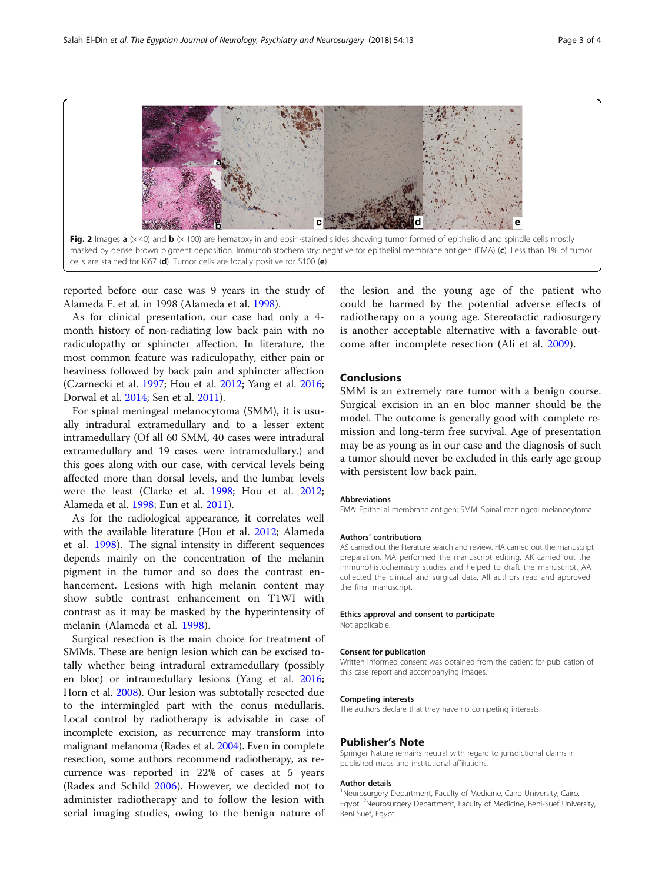<span id="page-2-0"></span>

reported before our case was 9 years in the study of Alameda F. et al. in 1998 (Alameda et al. [1998](#page-3-0)).

As for clinical presentation, our case had only a 4 month history of non-radiating low back pain with no radiculopathy or sphincter affection. In literature, the most common feature was radiculopathy, either pain or heaviness followed by back pain and sphincter affection (Czarnecki et al. [1997](#page-3-0); Hou et al. [2012;](#page-3-0) Yang et al. [2016](#page-3-0); Dorwal et al. [2014;](#page-3-0) Sen et al. [2011\)](#page-3-0).

For spinal meningeal melanocytoma (SMM), it is usually intradural extramedullary and to a lesser extent intramedullary (Of all 60 SMM, 40 cases were intradural extramedullary and 19 cases were intramedullary.) and this goes along with our case, with cervical levels being affected more than dorsal levels, and the lumbar levels were the least (Clarke et al. [1998;](#page-3-0) Hou et al. [2012](#page-3-0); Alameda et al. [1998;](#page-3-0) Eun et al. [2011](#page-3-0)).

As for the radiological appearance, it correlates well with the available literature (Hou et al. [2012;](#page-3-0) Alameda et al. [1998](#page-3-0)). The signal intensity in different sequences depends mainly on the concentration of the melanin pigment in the tumor and so does the contrast enhancement. Lesions with high melanin content may show subtle contrast enhancement on T1WI with contrast as it may be masked by the hyperintensity of melanin (Alameda et al. [1998](#page-3-0)).

Surgical resection is the main choice for treatment of SMMs. These are benign lesion which can be excised totally whether being intradural extramedullary (possibly en bloc) or intramedullary lesions (Yang et al. [2016](#page-3-0); Horn et al. [2008\)](#page-3-0). Our lesion was subtotally resected due to the intermingled part with the conus medullaris. Local control by radiotherapy is advisable in case of incomplete excision, as recurrence may transform into malignant melanoma (Rades et al. [2004\)](#page-3-0). Even in complete resection, some authors recommend radiotherapy, as recurrence was reported in 22% of cases at 5 years (Rades and Schild [2006](#page-3-0)). However, we decided not to administer radiotherapy and to follow the lesion with serial imaging studies, owing to the benign nature of

the lesion and the young age of the patient who could be harmed by the potential adverse effects of radiotherapy on a young age. Stereotactic radiosurgery is another acceptable alternative with a favorable outcome after incomplete resection (Ali et al. [2009](#page-3-0)).

## Conclusions

SMM is an extremely rare tumor with a benign course. Surgical excision in an en bloc manner should be the model. The outcome is generally good with complete remission and long-term free survival. Age of presentation may be as young as in our case and the diagnosis of such a tumor should never be excluded in this early age group with persistent low back pain.

#### Abbreviations

EMA: Epithelial membrane antigen; SMM: Spinal meningeal melanocytoma

#### Authors' contributions

AS carried out the literature search and review. HA carried out the manuscript preparation. MA performed the manuscript editing. AK carried out the immunohistochemistry studies and helped to draft the manuscript. AA collected the clinical and surgical data. All authors read and approved the final manuscript.

#### Ethics approval and consent to participate

Not applicable.

#### Consent for publication

Written informed consent was obtained from the patient for publication of this case report and accompanying images.

#### Competing interests

The authors declare that they have no competing interests.

#### Publisher's Note

Springer Nature remains neutral with regard to jurisdictional claims in published maps and institutional affiliations.

#### Author details

<sup>1</sup>Neurosurgery Department, Faculty of Medicine, Cairo University, Cairo, Egypt. <sup>2</sup>Neurosurgery Department, Faculty of Medicine, Beni-Suef University Beni Suef, Egypt.